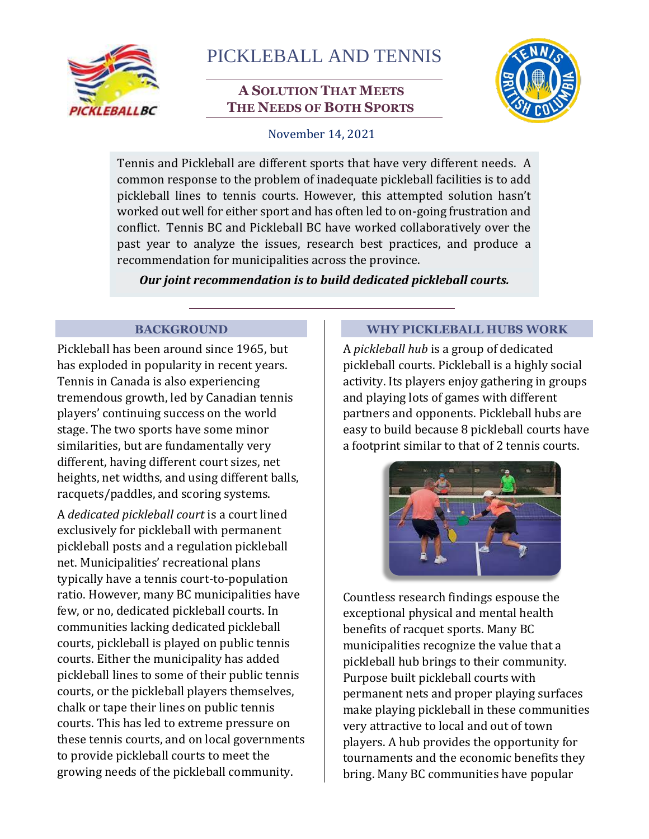

# PICKLEBALL AND TENNIS

# **A SOLUTION THAT MEETS THE NEEDS OF BOTH SPORTS**



## November 14, 2021

Tennis and Pickleball are different sports that have very different needs. A common response to the problem of inadequate pickleball facilities is to add pickleball lines to tennis courts. However, this attempted solution hasn't worked out well for either sport and has often led to on-going frustration and conflict. Tennis BC and Pickleball BC have worked collaboratively over the past year to analyze the issues, research best practices, and produce a recommendation for municipalities across the province.

*Our joint recommendation is to build dedicated pickleball courts.*

## **BACKGROUND**

Pickleball has been around since 1965, but has exploded in popularity in recent years. Tennis in Canada is also experiencing tremendous growth, led by Canadian tennis players' continuing success on the world stage. The two sports have some minor similarities, but are fundamentally very different, having different court sizes, net heights, net widths, and using different balls, racquets/paddles, and scoring systems.

A *dedicated pickleball court* is a court lined exclusively for pickleball with permanent pickleball posts and a regulation pickleball net. Municipalities' recreational plans typically have a tennis court-to-population ratio. However, many BC municipalities have few, or no, dedicated pickleball courts. In communities lacking dedicated pickleball courts, pickleball is played on public tennis courts. Either the municipality has added pickleball lines to some of their public tennis courts, or the pickleball players themselves, chalk or tape their lines on public tennis courts. This has led to extreme pressure on these tennis courts, and on local governments to provide pickleball courts to meet the growing needs of the pickleball community.

## **WHY PICKLEBALL HUBS WORK**

A *pickleball hub* is a group of dedicated pickleball courts. Pickleball is a highly social activity. Its players enjoy gathering in groups and playing lots of games with different partners and opponents. Pickleball hubs are easy to build because 8 pickleball courts have a footprint similar to that of 2 tennis courts.



Countless research findings espouse the exceptional physical and mental health benefits of racquet sports. Many BC municipalities recognize the value that a pickleball hub brings to their community. Purpose built pickleball courts with permanent nets and proper playing surfaces make playing pickleball in these communities very attractive to local and out of town players. A hub provides the opportunity for tournaments and the economic benefits they bring. Many BC communities have popular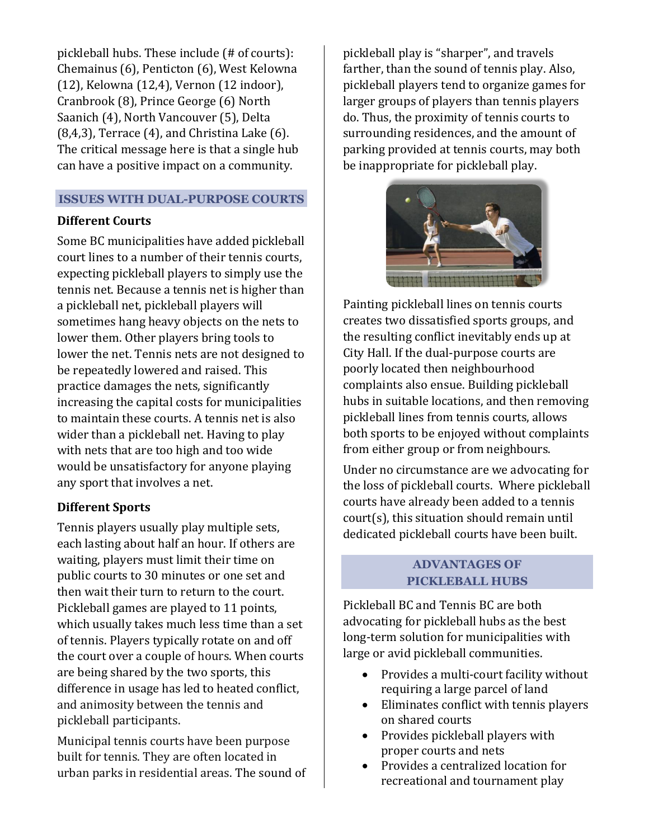pickleball hubs. These include (# of courts): Chemainus (6), Penticton (6), West Kelowna (12), Kelowna (12,4), Vernon (12 indoor), Cranbrook (8), Prince George (6) North Saanich (4), North Vancouver (5), Delta (8,4,3), Terrace (4), and Christina Lake (6). The critical message here is that a single hub can have a positive impact on a community.

#### **ISSUES WITH DUAL-PURPOSE COURTS**

## **Different Courts**

Some BC municipalities have added pickleball court lines to a number of their tennis courts, expecting pickleball players to simply use the tennis net. Because a tennis net is higher than a pickleball net, pickleball players will sometimes hang heavy objects on the nets to lower them. Other players bring tools to lower the net. Tennis nets are not designed to be repeatedly lowered and raised. This practice damages the nets, significantly increasing the capital costs for municipalities to maintain these courts. A tennis net is also wider than a pickleball net. Having to play with nets that are too high and too wide would be unsatisfactory for anyone playing any sport that involves a net.

## **Different Sports**

Tennis players usually play multiple sets, each lasting about half an hour. If others are waiting, players must limit their time on public courts to 30 minutes or one set and then wait their turn to return to the court. Pickleball games are played to 11 points, which usually takes much less time than a set of tennis. Players typically rotate on and off the court over a couple of hours. When courts are being shared by the two sports, this difference in usage has led to heated conflict, and animosity between the tennis and pickleball participants.

Municipal tennis courts have been purpose built for tennis. They are often located in urban parks in residential areas. The sound of

pickleball play is "sharper", and travels farther, than the sound of tennis play. Also, pickleball players tend to organize games for larger groups of players than tennis players do. Thus, the proximity of tennis courts to surrounding residences, and the amount of parking provided at tennis courts, may both be inappropriate for pickleball play.



Painting pickleball lines on tennis courts creates two dissatisfied sports groups, and the resulting conflict inevitably ends up at City Hall. If the dual-purpose courts are poorly located then neighbourhood complaints also ensue. Building pickleball hubs in suitable locations, and then removing pickleball lines from tennis courts, allows both sports to be enjoyed without complaints from either group or from neighbours.

Under no circumstance are we advocating for the loss of pickleball courts. Where pickleball courts have already been added to a tennis court(s), this situation should remain until dedicated pickleball courts have been built.

#### **ADVANTAGES OF PICKLEBALL HUBS**

Pickleball BC and Tennis BC are both advocating for pickleball hubs as the best long-term solution for municipalities with large or avid pickleball communities.

- Provides a multi-court facility without requiring a large parcel of land
- Eliminates conflict with tennis players on shared courts
- Provides pickleball players with proper courts and nets
- Provides a centralized location for recreational and tournament play